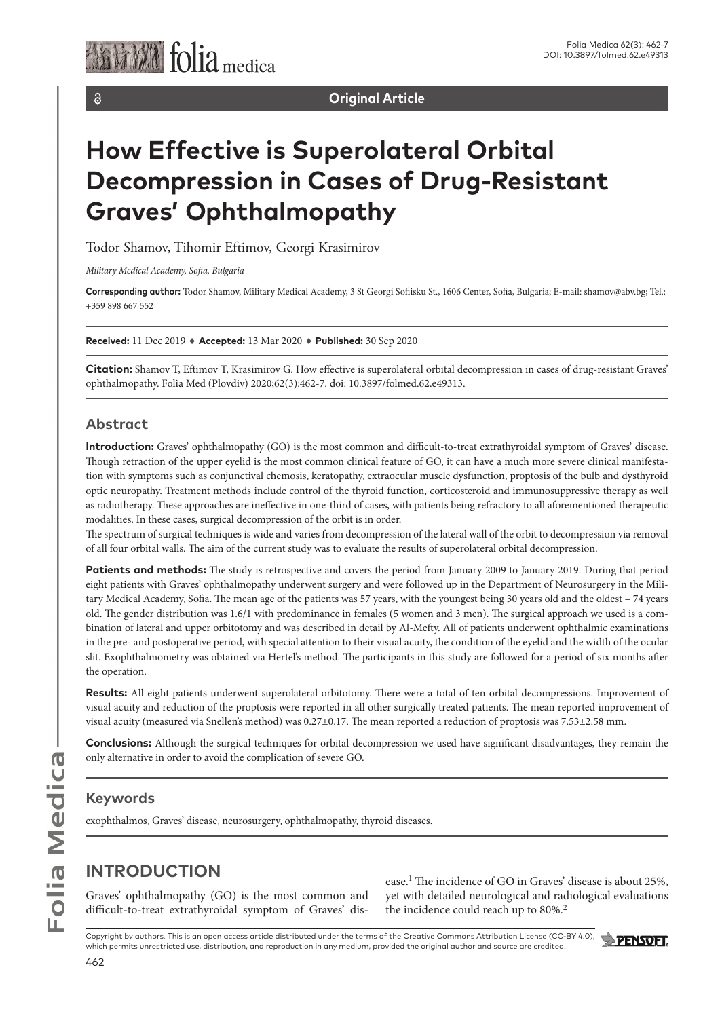

 $\delta$ 

**Original Article**

# **How Effective is Superolateral Orbital Decompression in Cases of Drug-Resistant Graves' Ophthalmopathy**

Todor Shamov, Tihomir Eftimov, Georgi Krasimirov

*Military Medical Academy, Sofia, Bulgaria*

**Corresponding author:** Todor Shamov, Military Medical Academy, 3 St Georgi Sofiisku St., 1606 Center, Sofia, Bulgaria; E-mail: shamov@abv.bg; Tel.: +359 898 667 552

**Received:** 11 Dec 2019 ♦ **Accepted:** 13 Mar 2020 ♦ **Published:** 30 Sep 2020

**Citation:** Shamov T, Eftimov T, Krasimirov G. How effective is superolateral orbital decompression in cases of drug-resistant Graves' ophthalmopathy. Folia Med (Plovdiv) 2020;62(3):462-7. doi: 10.3897/folmed.62.e49313.

#### **Abstract**

**Introduction:** Graves' ophthalmopathy (GO) is the most common and difficult-to-treat extrathyroidal symptom of Graves' disease. Though retraction of the upper eyelid is the most common clinical feature of GO, it can have a much more severe clinical manifestation with symptoms such as conjunctival chemosis, keratopathy, extraocular muscle dysfunction, proptosis of the bulb and dysthyroid optic neuropathy. Treatment methods include control of the thyroid function, corticosteroid and immunosuppressive therapy as well as radiotherapy. These approaches are ineffective in one-third of cases, with patients being refractory to all aforementioned therapeutic modalities. In these cases, surgical decompression of the orbit is in order.

The spectrum of surgical techniques is wide and varies from decompression of the lateral wall of the orbit to decompression via removal of all four orbital walls. The aim of the current study was to evaluate the results of superolateral orbital decompression.

Patients and methods: The study is retrospective and covers the period from January 2009 to January 2019. During that period eight patients with Graves' ophthalmopathy underwent surgery and were followed up in the Department of Neurosurgery in the Military Medical Academy, Sofia. The mean age of the patients was 57 years, with the youngest being 30 years old and the oldest – 74 years old. The gender distribution was 1.6/1 with predominance in females (5 women and 3 men). The surgical approach we used is a combination of lateral and upper orbitotomy and was described in detail by Al-Mefty. All of patients underwent ophthalmic examinations in the pre- and postoperative period, with special attention to their visual acuity, the condition of the eyelid and the width of the ocular slit. Exophthalmometry was obtained via Hertel's method. The participants in this study are followed for a period of six months after the operation.

**Results:** All eight patients underwent superolateral orbitotomy. There were a total of ten orbital decompressions. Improvement of visual acuity and reduction of the proptosis were reported in all other surgically treated patients. The mean reported improvement of visual acuity (measured via Snellen's method) was 0.27±0.17. The mean reported a reduction of proptosis was 7.53±2.58 mm.

**Conclusions:** Although the surgical techniques for orbital decompression we used have significant disadvantages, they remain the only alternative in order to avoid the complication of severe GO.

### **Keywords**

exophthalmos, Graves' disease, neurosurgery, ophthalmopathy, thyroid diseases.

## **INTRODUCTION**

Graves' ophthalmopathy (GO) is the most common and difficult-to-treat extrathyroidal symptom of Graves' disease.1 The incidence of GO in Graves' disease is about 25%, yet with detailed neurological and radiological evaluations the incidence could reach up to 80%.<sup>2</sup>

Copyright by authors. This is an open access article distributed under the terms of the Creative Commons Attribution License (CC-BY 4.0), which permits unrestricted use, distribution, and reproduction in any medium, provided the original author and source are credited.

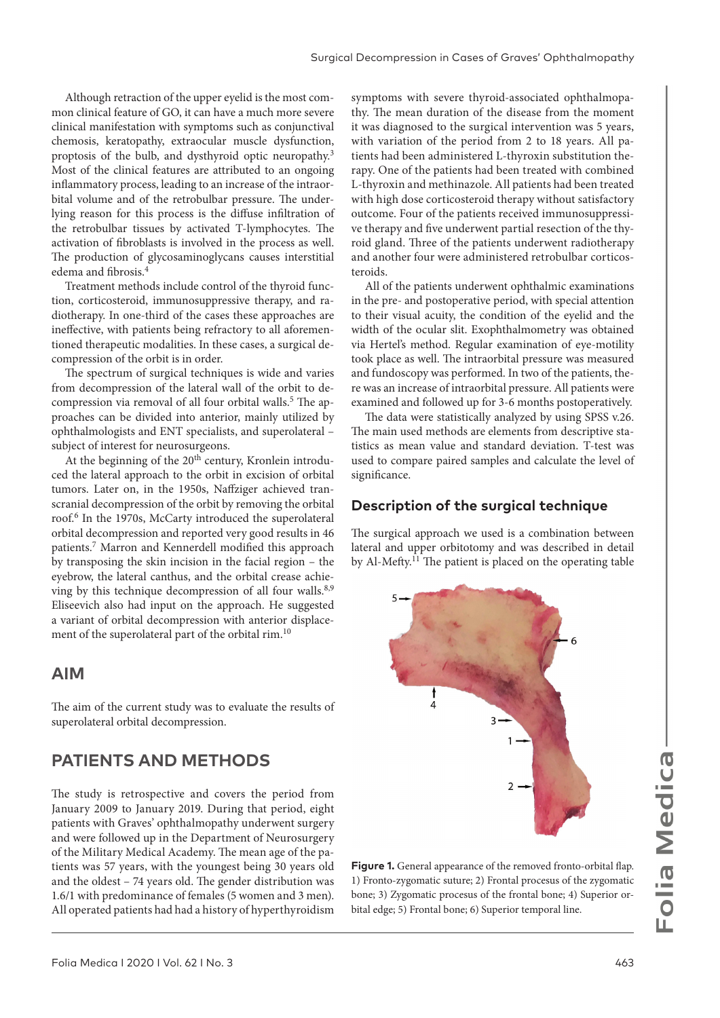Although retraction of the upper eyelid is the most common clinical feature of GO, it can have a much more severe clinical manifestation with symptoms such as conjunctival chemosis, keratopathy, extraocular muscle dysfunction, proptosis of the bulb, and dysthyroid optic neuropathy.3 Most of the clinical features are attributed to an ongoing inflammatory process, leading to an increase of the intraorbital volume and of the retrobulbar pressure. The underlying reason for this process is the diffuse infiltration of the retrobulbar tissues by activated T-lymphocytes. The activation of fibroblasts is involved in the process as well. The production of glycosaminoglycans causes interstitial edema and fibrosis.<sup>4</sup>

Treatment methods include control of the thyroid function, corticosteroid, immunosuppressive therapy, and radiotherapy. In one-third of the cases these approaches are ineffective, with patients being refractory to all aforementioned therapeutic modalities. In these cases, a surgical decompression of the orbit is in order.

The spectrum of surgical techniques is wide and varies from decompression of the lateral wall of the orbit to decompression via removal of all four orbital walls.<sup>5</sup> The approaches can be divided into anterior, mainly utilized by ophthalmologists and ENT specialists, and superolateral – subject of interest for neurosurgeons.

At the beginning of the 20<sup>th</sup> century, Kronlein introduced the lateral approach to the orbit in excision of orbital tumors. Later on, in the 1950s, Naffziger achieved transcranial decompression of the orbit by removing the orbital roof.6 In the 1970s, McCarty introduced the superolateral orbital decompression and reported very good results in 46 patients.7 Marron and Kennerdell modified this approach by transposing the skin incision in the facial region – the eyebrow, the lateral canthus, and the orbital crease achieving by this technique decompression of all four walls. $8,9$ Eliseevich also had input on the approach. He suggested a variant of orbital decompression with anterior displacement of the superolateral part of the orbital rim.10

#### **AIM**

The aim of the current study was to evaluate the results of superolateral orbital decompression.

### **PATIENTS AND METHODS**

The study is retrospective and covers the period from January 2009 to January 2019. During that period, eight patients with Graves' ophthalmopathy underwent surgery and were followed up in the Department of Neurosurgery of the Military Medical Academy. The mean age of the patients was 57 years, with the youngest being 30 years old and the oldest – 74 years old. The gender distribution was 1.6/1 with predominance of females (5 women and 3 men). All operated patients had had a history of hyperthyroidism

symptoms with severe thyroid-associated ophthalmopathy. The mean duration of the disease from the moment it was diagnosed to the surgical intervention was 5 years, with variation of the period from 2 to 18 years. All patients had been administered L-thyroxin substitution therapy. One of the patients had been treated with combined L-thyroxin and methinazole. All patients had been treated with high dose corticosteroid therapy without satisfactory outcome. Four of the patients received immunosuppressive therapy and five underwent partial resection of the thyroid gland. Three of the patients underwent radiotherapy and another four were administered retrobulbar corticosteroids.

All of the patients underwent ophthalmic examinations in the pre- and postoperative period, with special attention to their visual acuity, the condition of the eyelid and the width of the ocular slit. Exophthalmometry was obtained via Hertel's method. Regular examination of eye-motility took place as well. The intraorbital pressure was measured and fundoscopy was performed. In two of the patients, there was an increase of intraorbital pressure. All patients were examined and followed up for 3-6 months postoperatively.

The data were statistically analyzed by using SPSS v.26. The main used methods are elements from descriptive statistics as mean value and standard deviation. T-test was used to compare paired samples and calculate the level of significance.

#### **Description of the surgical technique**

The surgical approach we used is a combination between lateral and upper orbitotomy and was described in detail by Al-Mefty.<sup>11</sup> The patient is placed on the operating table



**Figure 1.** General appearance of the removed fronto-orbital flap. 1) Fronto-zygomatic suture; 2) Frontal procesus of the zygomatic bone; 3) Zygomatic procesus of the frontal bone; 4) Superior orbital edge; 5) Frontal bone; 6) Superior temporal line.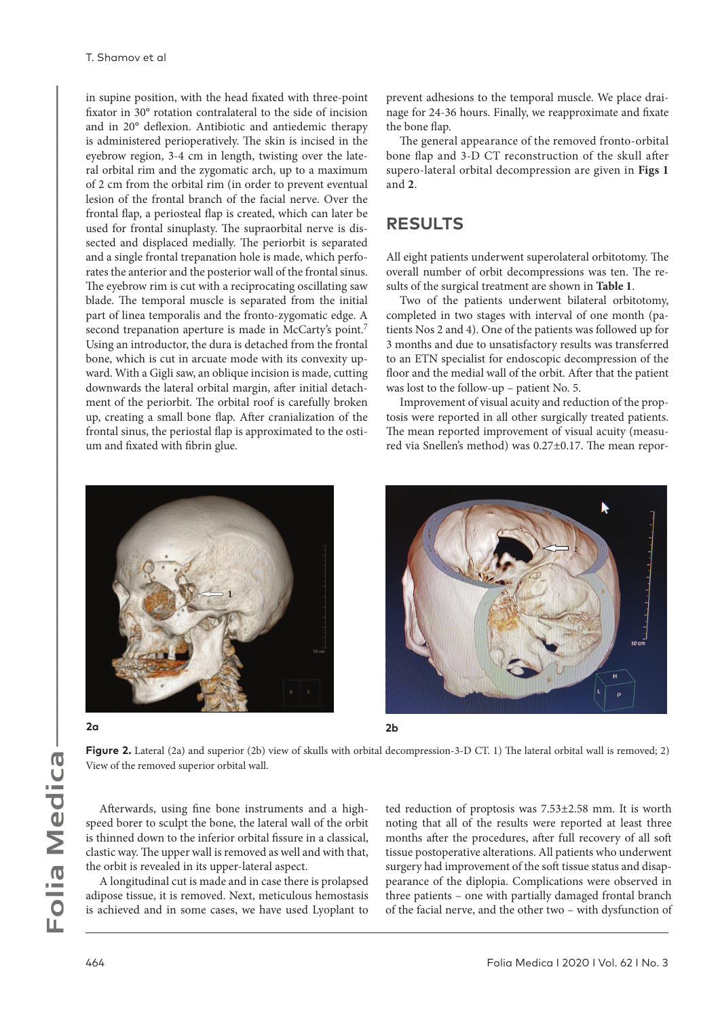in supine position, with the head fixated with three-point fixator in 30° rotation contralateral to the side of incision and in 20° deflexion. Antibiotic and antiedemic therapy is administered perioperatively. The skin is incised in the eyebrow region, 3-4 cm in length, twisting over the lateral orbital rim and the zygomatic arch, up to a maximum of 2 cm from the orbital rim (in order to prevent eventual lesion of the frontal branch of the facial nerve. Over the frontal flap, a periosteal flap is created, which can later be used for frontal sinuplasty. The supraorbital nerve is dissected and displaced medially. The periorbit is separated and a single frontal trepanation hole is made, which perforates the anterior and the posterior wall of the frontal sinus. The eyebrow rim is cut with a reciprocating oscillating saw blade. The temporal muscle is separated from the initial part of linea temporalis and the fronto-zygomatic edge. A second trepanation aperture is made in McCarty's point.<sup>7</sup> Using an introductor, the dura is detached from the frontal bone, which is cut in arcuate mode with its convexity upward. With a Gigli saw, an oblique incision is made, cutting downwards the lateral orbital margin, after initial detachment of the periorbit. The orbital roof is carefully broken up, creating a small bone flap. After cranialization of the frontal sinus, the periostal flap is approximated to the ostium and fixated with fibrin glue.

prevent adhesions to the temporal muscle. We place drainage for 24-36 hours. Finally, we reapproximate and fixate the bone flap.

The general appearance of the removed fronto-orbital bone flap and 3-D CT reconstruction of the skull after supero-lateral orbital decompression are given in **Figs 1**  and **2**.

## **RESULTS**

All eight patients underwent superolateral orbitotomy. The overall number of orbit decompressions was ten. The results of the surgical treatment are shown in **Table 1**.

Two of the patients underwent bilateral orbitotomy, completed in two stages with interval of one month (patients Nos 2 and 4). One of the patients was followed up for 3 months and due to unsatisfactory results was transferred to an ETN specialist for endoscopic decompression of the floor and the medial wall of the orbit. After that the patient was lost to the follow-up – patient No. 5.

Improvement of visual acuity and reduction of the proptosis were reported in all other surgically treated patients. The mean reported improvement of visual acuity (measured via Snellen's method) was 0.27±0.17. The mean repor-



**2a 2b**





**Figure 2.** Lateral (2a) and superior (2b) view of skulls with orbital decompression-3-D CT. 1) The lateral orbital wall is removed; 2) View of the removed superior orbital wall.

Afterwards, using fine bone instruments and a highspeed borer to sculpt the bone, the lateral wall of the orbit is thinned down to the inferior orbital fissure in a classical, clastic way. The upper wall is removed as well and with that, the orbit is revealed in its upper-lateral aspect.

A longitudinal cut is made and in case there is prolapsed adipose tissue, it is removed. Next, meticulous hemostasis is achieved and in some cases, we have used Lyoplant to ted reduction of proptosis was 7.53±2.58 mm. It is worth noting that all of the results were reported at least three months after the procedures, after full recovery of all soft tissue postoperative alterations. All patients who underwent surgery had improvement of the soft tissue status and disappearance of the diplopia. Complications were observed in three patients – one with partially damaged frontal branch of the facial nerve, and the other two – with dysfunction of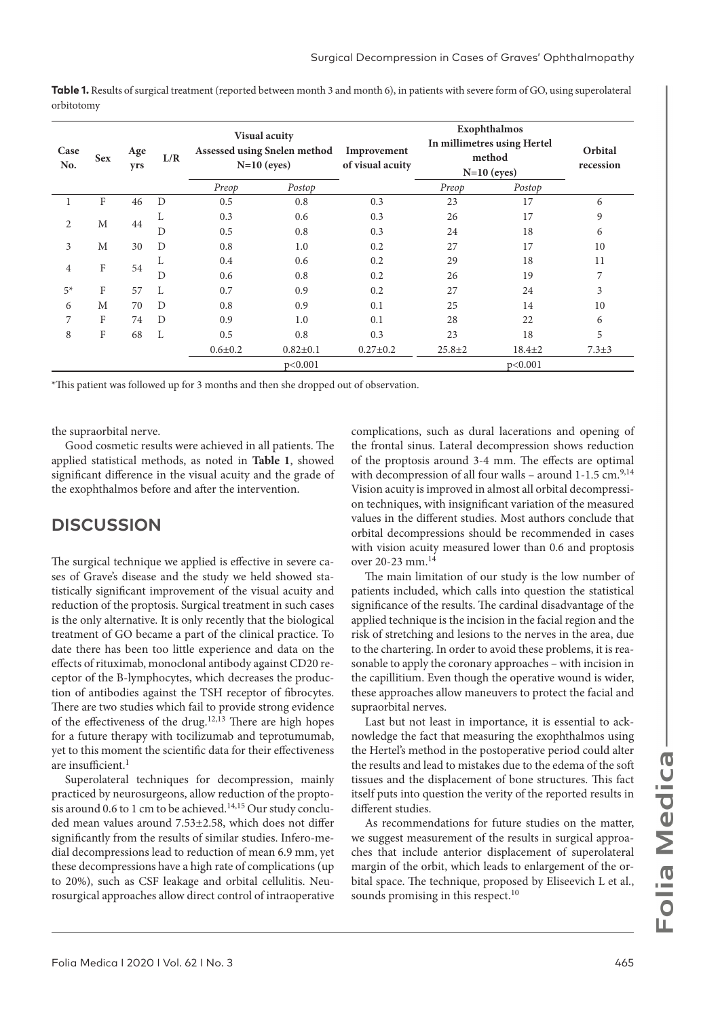| Table 1. Results of surgical treatment (reported between month 3 and month 6), in patients with severe form of GO, using superolateral |  |
|----------------------------------------------------------------------------------------------------------------------------------------|--|
| orbitotomy                                                                                                                             |  |

| Case<br>No.    | <b>Sex</b> | Age<br>yrs | L/R | Visual acuity<br>Assessed using Snelen method<br>$N=10$ (eyes) |                | Improvement<br>of visual acuity | Exophthalmos<br>In millimetres using Hertel<br>method<br>$N=10$ (eyes) |              | Orbital<br>recession |    |
|----------------|------------|------------|-----|----------------------------------------------------------------|----------------|---------------------------------|------------------------------------------------------------------------|--------------|----------------------|----|
|                |            |            |     | Preop                                                          | Postop         |                                 | Preop                                                                  | Postop       |                      |    |
|                | F          | 46         | D   | 0.5                                                            | 0.8            | 0.3                             | 23                                                                     | 17           | 6                    |    |
| $\overline{2}$ | M          | 44         | L   | 0.3                                                            | 0.6            | 0.3                             | 26                                                                     | 17           | 9                    |    |
|                |            |            | D   | 0.5                                                            | 0.8            | 0.3                             | 24                                                                     | 18           | 6                    |    |
| 3              | М          | 30         | D   | 0.8                                                            | 1.0            | 0.2                             | 27                                                                     | 17           | 10                   |    |
| 4              | F          |            |     | L                                                              | 0.4            | 0.6                             | 0.2                                                                    | 29           | 18                   | 11 |
|                |            | 54         | D   | 0.6                                                            | 0.8            | 0.2                             | 26                                                                     | 19           | 7                    |    |
| $5*$           | F          | 57         | L   | 0.7                                                            | 0.9            | 0.2                             | 27                                                                     | 24           | 3                    |    |
| 6              | М          | 70         | D   | 0.8                                                            | 0.9            | 0.1                             | 25                                                                     | 14           | 10                   |    |
| 7              | F          | 74         | D   | 0.9                                                            | 1.0            | 0.1                             | 28                                                                     | 22           | 6                    |    |
| 8              | F          | 68         | L   | 0.5                                                            | 0.8            | 0.3                             | 23                                                                     | 18           | 5                    |    |
|                |            |            |     | $0.6{\pm}0.2$                                                  | $0.82 \pm 0.1$ | $0.27 \pm 0.2$                  | $25.8 \pm 2$                                                           | $18.4 \pm 2$ | $7.3 \pm 3$          |    |
|                |            |            |     |                                                                | p<0.001        |                                 |                                                                        | p<0.001      |                      |    |

\*This patient was followed up for 3 months and then she dropped out of observation.

the supraorbital nerve.

Good cosmetic results were achieved in all patients. The applied statistical methods, as noted in **Table 1**, showed significant difference in the visual acuity and the grade of the exophthalmos before and after the intervention.

#### **DISCUSSION**

The surgical technique we applied is effective in severe cases of Grave's disease and the study we held showed statistically significant improvement of the visual acuity and reduction of the proptosis. Surgical treatment in such cases is the only alternative. It is only recently that the biological treatment of GO became a part of the clinical practice. To date there has been too little experience and data on the effects of rituximab, monoclonal antibody against CD20 receptor of the B-lymphocytes, which decreases the production of antibodies against the TSH receptor of fibrocytes. There are two studies which fail to provide strong evidence of the effectiveness of the drug.<sup>12,13</sup> There are high hopes for a future therapy with tocilizumab and teprotumumab, yet to this moment the scientific data for their effectiveness  $are$  insufficient.<sup>1</sup>

Superolateral techniques for decompression, mainly practiced by neurosurgeons, allow reduction of the proptosis around 0.6 to 1 cm to be achieved.<sup>14,15</sup> Our study concluded mean values around 7.53±2.58, which does not differ significantly from the results of similar studies. Infero-medial decompressions lead to reduction of mean 6.9 mm, yet these decompressions have a high rate of complications (up to 20%), such as CSF leakage and orbital cellulitis. Neurosurgical approaches allow direct control of intraoperative

complications, such as dural lacerations and opening of the frontal sinus. Lateral decompression shows reduction of the proptosis around 3-4 mm. The effects are optimal with decompression of all four walls – around  $1-1.5$  cm.<sup>9,14</sup> Vision acuity is improved in almost all orbital decompression techniques, with insignificant variation of the measured values in the different studies. Most authors conclude that orbital decompressions should be recommended in cases with vision acuity measured lower than 0.6 and proptosis over 20-23 mm.14

The main limitation of our study is the low number of patients included, which calls into question the statistical significance of the results. The cardinal disadvantage of the applied technique is the incision in the facial region and the risk of stretching and lesions to the nerves in the area, due to the chartering. In order to avoid these problems, it is reasonable to apply the coronary approaches – with incision in the capillitium. Even though the operative wound is wider, these approaches allow maneuvers to protect the facial and supraorbital nerves.

Last but not least in importance, it is essential to acknowledge the fact that measuring the exophthalmos using the Hertel's method in the postoperative period could alter the results and lead to mistakes due to the edema of the soft tissues and the displacement of bone structures. This fact itself puts into question the verity of the reported results in different studies.

As recommendations for future studies on the matter, we suggest measurement of the results in surgical approaches that include anterior displacement of superolateral margin of the orbit, which leads to enlargement of the orbital space. The technique, proposed by Eliseevich L et al., sounds promising in this respect.<sup>10</sup>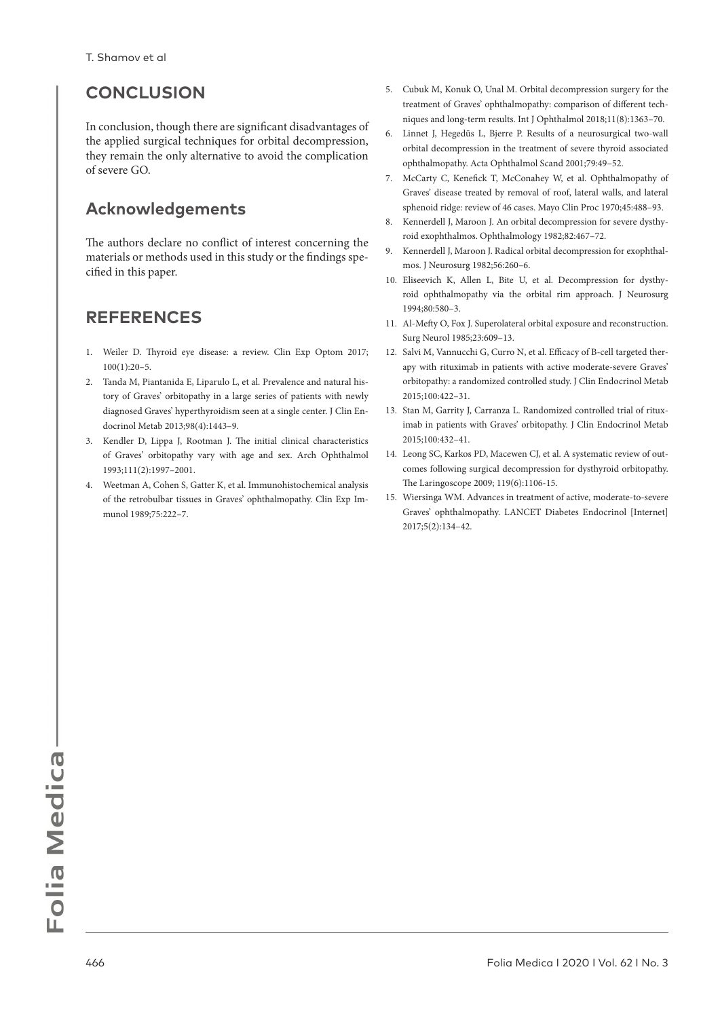# **CONCLUSION**

In conclusion, though there are significant disadvantages of the applied surgical techniques for orbital decompression, they remain the only alternative to avoid the complication of severe GO.

## **Acknowledgements**

The authors declare no conflict of interest concerning the materials or methods used in this study or the findings specified in this paper.

## **REFERENCES**

- 1. Weiler D. Thyroid eye disease: a review. Clin Exp Optom 2017; 100(1):20–5.
- 2. Tanda M, Piantanida E, Liparulo L, et al. Prevalence and natural history of Graves' orbitopathy in a large series of patients with newly diagnosed Graves' hyperthyroidism seen at a single center. J Clin Endocrinol Metab 2013;98(4):1443–9.
- 3. Kendler D, Lippa J, Rootman J. The initial clinical characteristics of Graves' orbitopathy vary with age and sex. Arch Ophthalmol 1993;111(2):1997–2001.
- 4. Weetman A, Cohen S, Gatter K, et al. Immunohistochemical analysis of the retrobulbar tissues in Graves' ophthalmopathy. Clin Exp Immunol 1989;75:222–7.
- 5. Cubuk M, Konuk O, Unal M. Orbital decompression surgery for the treatment of Graves' ophthalmopathy: comparison of different techniques and long-term results. Int J Ophthalmol 2018;11(8):1363–70.
- 6. Linnet J, Hegedüs L, Bjerre P. Results of a neurosurgical two-wall orbital decompression in the treatment of severe thyroid associated ophthalmopathy. Acta Ophthalmol Scand 2001;79:49–52.
- 7. McCarty C, Kenefick T, McConahey W, et al. Ophthalmopathy of Graves' disease treated by removal of roof, lateral walls, and lateral sphenoid ridge: review of 46 cases. Mayo Clin Proc 1970;45:488–93.
- 8. Kennerdell J, Maroon J. An orbital decompression for severe dysthyroid exophthalmos. Ophthalmology 1982;82:467–72.
- 9. Kennerdell J, Maroon J. Radical orbital decompression for exophthalmos. J Neurosurg 1982;56:260–6.
- 10. Eliseevich K, Allen L, Bite U, et al. Decompression for dysthyroid ophthalmopathy via the orbital rim approach. J Neurosurg 1994;80:580–3.
- 11. Al-Mefty O, Fox J. Superolateral orbital exposure and reconstruction. Surg Neurol 1985;23:609–13.
- 12. Salvi M, Vannucchi G, Curro N, et al. Efficacy of B-cell targeted therapy with rituximab in patients with active moderate-severe Graves' orbitopathy: a randomized controlled study. J Clin Endocrinol Metab 2015;100:422–31.
- 13. Stan M, Garrity J, Carranza L. Randomized controlled trial of rituximab in patients with Graves' orbitopathy. J Clin Endocrinol Metab 2015;100:432–41.
- 14. Leong SC, Karkos PD, Macewen CJ, et al. A systematic review of outcomes following surgical decompression for dysthyroid orbitopathy. The Laringoscope 2009; 119(6):1106-15.
- 15. Wiersinga WM. Advances in treatment of active, moderate-to-severe Graves' ophthalmopathy. LANCET Diabetes Endocrinol [Internet] 2017;5(2):134–42.